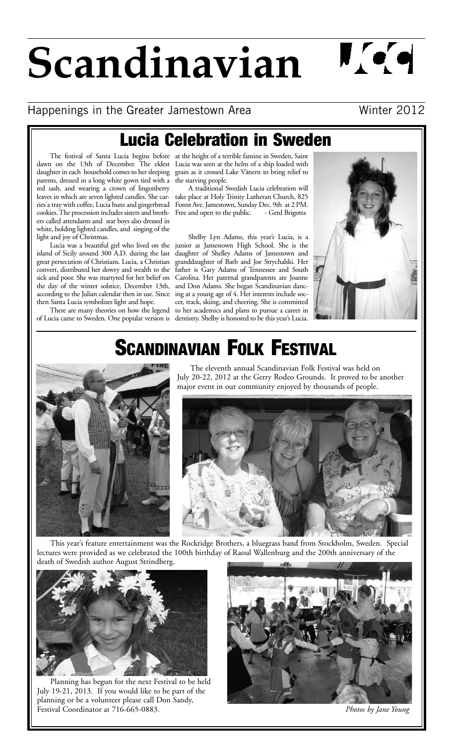# **Scandinavian**

Happenings in the Greater Jamestown Area Winter 2012

# Lucia Celebration in Sweden

parents, dressed in a long white gown tied with a red sash, and wearing a crown of lingonberry leaves in which are seven lighted candles. She carries a tray with coffee, Lucia buns and gingerbread cookies. The procession includes sisters and brothers called attendants and star boys also dressed in white, holding lighted candles, and singing of the light and joy of Christmas.

Lucia was a beautiful girl who lived on the island of Sicily around 300 A.D. during the last great persecution of Christians. Lucia, a Christian convert, distributed her dowry and wealth to the sick and poor. She was martyred for her belief on the day of the winter solstice, December 13th, according to the Julian calendar then in use. Since then Santa Lucia symbolizes light and hope.

of Lucia came to Sweden. One popular version is dentistry. Shelby is honored to be this year's Lucia.

The festival of Santa Lucia begins before at the height of a terrible famine in Sweden, Saint dawn on the 13th of December. The eldest Lucia was seen at the helm of a ship loaded with daughter in each household comes to her sleeping grain as it crossed Lake Vänern to bring relief to the starving people.

A traditional Swedish Lucia celebration will take place at Holy Trinity Lutheran Church, 825 Forest Ave. Jamestown, Sunday Dec. 9th at 2 PM.<br>Free and open to the public. - Gerd Brigotta Free and open to the public.

There are many theories on how the legend to her academics and plans to pursue a career in Shelby Lyn Adams, this year's Lucia, is a junior at Jamestown High School. She is the daughter of Shelley Adams of Jamestown and granddaughter of Barb and Joe Strychalski. Her father is Gary Adams of Tennessee and South Carolina. Her paternal grandparents are Joanne and Don Adams. She began Scandinavian dancing at a young age of 4. Her interests include soccer, track, skiing, and cheering. She is committed

# **SCANDINAVIAN FOLK FESTIVAL**



The eleventh annual Scandinavian Folk Festival was held on July 20-22, 2012 at the Gerry Rodeo Grounds. It proved to be another major event in our community enjoyed by thousands of people.



This year's feature entertainment was the Rockridge Brothers, a bluegrass band from Stockholm, Sweden. Special lectures were provided as we celebrated the 100th birthday of Raoul Wallenburg and the 200th anniversary of the death of Swedish author August Strindberg.



Planning has begun for the next Festival to be held July 19-21, 2013. If you would like to be part of the planning or be a volunteer please call Don Sandy, Festival Coordinator at 716-665-0883. *Photos by Jane Young*





 $\mathbf{N}$  (e)